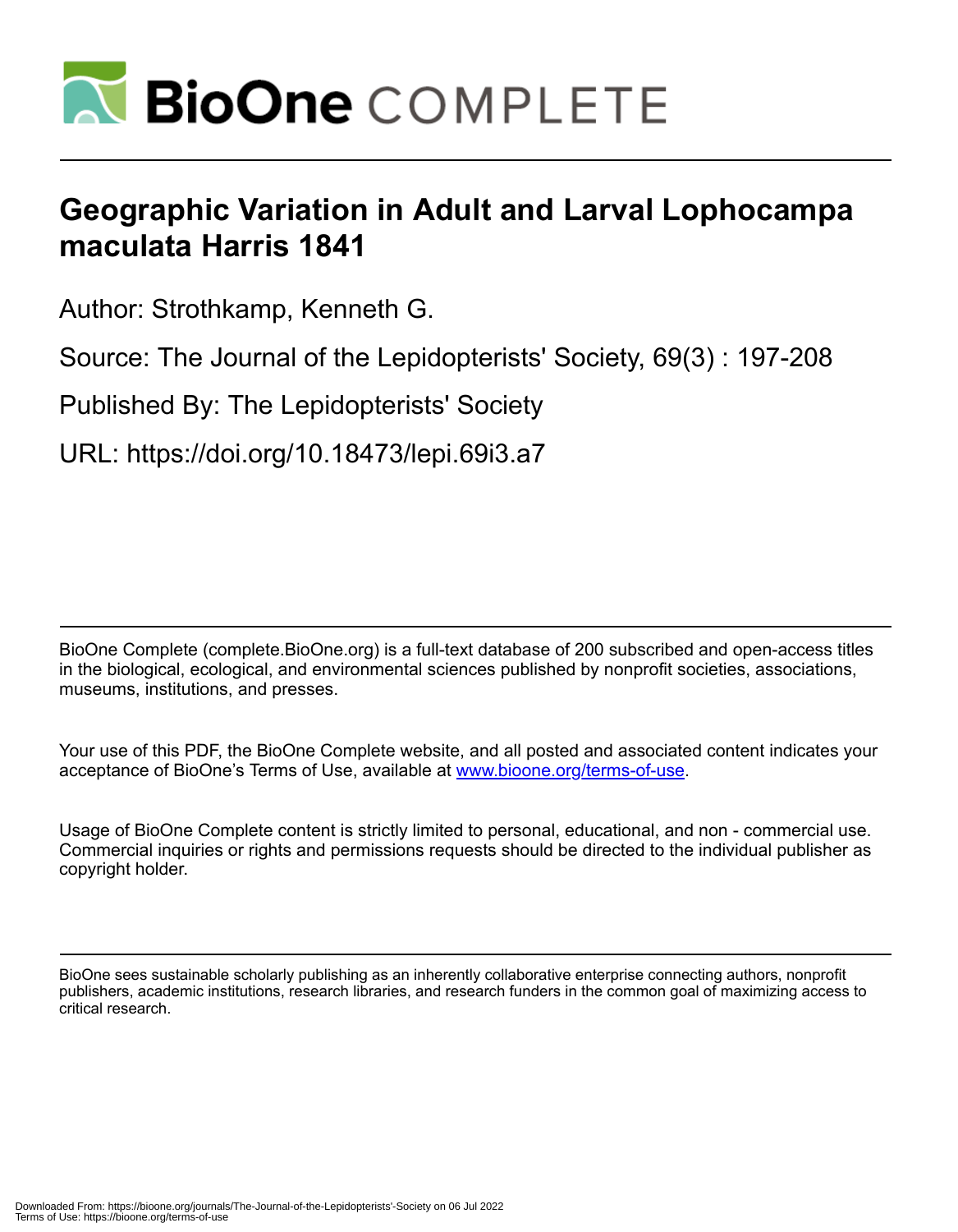

# **Geographic Variation in Adult and Larval Lophocampa maculata Harris 1841**

Author: Strothkamp, Kenneth G.

Source: The Journal of the Lepidopterists' Society, 69(3) : 197-208

Published By: The Lepidopterists' Society

URL: https://doi.org/10.18473/lepi.69i3.a7

BioOne Complete (complete.BioOne.org) is a full-text database of 200 subscribed and open-access titles in the biological, ecological, and environmental sciences published by nonprofit societies, associations, museums, institutions, and presses.

Your use of this PDF, the BioOne Complete website, and all posted and associated content indicates your acceptance of BioOne's Terms of Use, available at www.bioone.org/terms-of-use.

Usage of BioOne Complete content is strictly limited to personal, educational, and non - commercial use. Commercial inquiries or rights and permissions requests should be directed to the individual publisher as copyright holder.

BioOne sees sustainable scholarly publishing as an inherently collaborative enterprise connecting authors, nonprofit publishers, academic institutions, research libraries, and research funders in the common goal of maximizing access to critical research.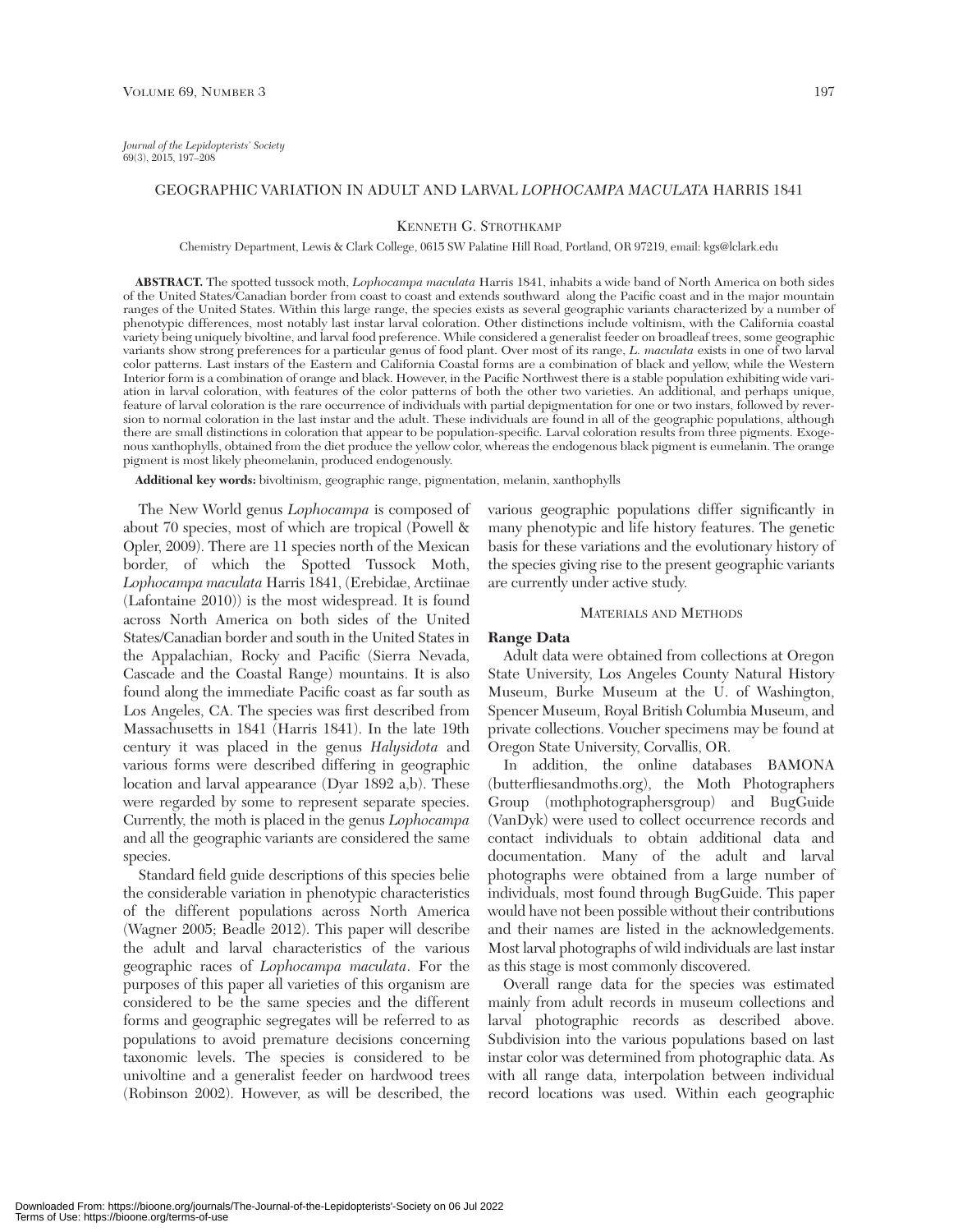# GEOGRAPHIC VARIATION IN ADULT AND LARVAL *LOPHOCAMPA MACULATA* HARRIS 1841

#### KENNETH G. STROTHKAMP

Chemistry Department, Lewis & Clark College, 0615 SW Palatine Hill Road, Portland, OR 97219, email: kgs@lclark.edu

**ABSTRACT.** The spotted tussock moth, *Lophocampa maculata* Harris 1841, inhabits a wide band of North America on both sides of the United States/Canadian border from coast to coast and extends southward along the Pacific coast and in the major mountain ranges of the United States. Within this large range, the species exists as several geographic variants characterized by a number of phenotypic differences, most notably last instar larval coloration. Other distinctions include voltinism, with the California coastal variety being uniquely bivoltine, and larval food preference. While considered a generalist feeder on broadleaf trees, some geographic variants show strong preferences for a particular genus of food plant. Over most of its range, *L. maculata* exists in one of two larval color patterns. Last instars of the Eastern and California Coastal forms are a combination of black and yellow, while the Western Interior form is a combination of orange and black. However, in the Pacific Northwest there is a stable population exhibiting wide variation in larval coloration, with features of the color patterns of both the other two varieties. An additional, and perhaps unique, feature of larval coloration is the rare occurrence of individuals with partial depigmentation for one or two instars, followed by reversion to normal coloration in the last instar and the adult. These individuals are found in all of the geographic populations, although there are small distinctions in coloration that appear to be population-specific. Larval coloration results from three pigments. Exogenous xanthophylls, obtained from the diet produce the yellow color, whereas the endogenous black pigment is eumelanin. The orange pigment is most likely pheomelanin, produced endogenously.

**Additional key words:** bivoltinism, geographic range, pigmentation, melanin, xanthophylls

The New World genus *Lophocampa* is composed of about 70 species, most of which are tropical (Powell & Opler, 2009). There are 11 species north of the Mexican border, of which the Spotted Tussock Moth, *Lophocampa maculata* Harris 1841, (Erebidae, Arctiinae (Lafontaine 2010)) is the most widespread. It is found across North America on both sides of the United States/Canadian border and south in the United States in the Appalachian, Rocky and Pacific (Sierra Nevada, Cascade and the Coastal Range) mountains. It is also found along the immediate Pacific coast as far south as Los Angeles, CA. The species was first described from Massachusetts in 1841 (Harris 1841). In the late 19th century it was placed in the genus *Halysidota* and various forms were described differing in geographic location and larval appearance (Dyar 1892 a,b). These were regarded by some to represent separate species. Currently, the moth is placed in the genus *Lophocampa* and all the geographic variants are considered the same species.

Standard field guide descriptions of this species belie the considerable variation in phenotypic characteristics of the different populations across North America (Wagner 2005; Beadle 2012). This paper will describe the adult and larval characteristics of the various geographic races of *Lophocampa maculata*. For the purposes of this paper all varieties of this organism are considered to be the same species and the different forms and geographic segregates will be referred to as populations to avoid premature decisions concerning taxonomic levels. The species is considered to be univoltine and a generalist feeder on hardwood trees (Robinson 2002). However, as will be described, the various geographic populations differ significantly in many phenotypic and life history features. The genetic basis for these variations and the evolutionary history of the species giving rise to the present geographic variants are currently under active study.

#### MATERIALS AND METHODS

#### **Range Data**

Adult data were obtained from collections at Oregon State University, Los Angeles County Natural History Museum, Burke Museum at the U. of Washington, Spencer Museum, Royal British Columbia Museum, and private collections. Voucher specimens may be found at Oregon State University, Corvallis, OR.

In addition, the online databases BAMONA (butterfliesandmoths.org), the Moth Photographers Group (mothphotographersgroup) and BugGuide (VanDyk) were used to collect occurrence records and contact individuals to obtain additional data and documentation. Many of the adult and larval photographs were obtained from a large number of individuals, most found through BugGuide. This paper would have not been possible without their contributions and their names are listed in the acknowledgements. Most larval photographs of wild individuals are last instar as this stage is most commonly discovered.

Overall range data for the species was estimated mainly from adult records in museum collections and larval photographic records as described above. Subdivision into the various populations based on last instar color was determined from photographic data. As with all range data, interpolation between individual record locations was used. Within each geographic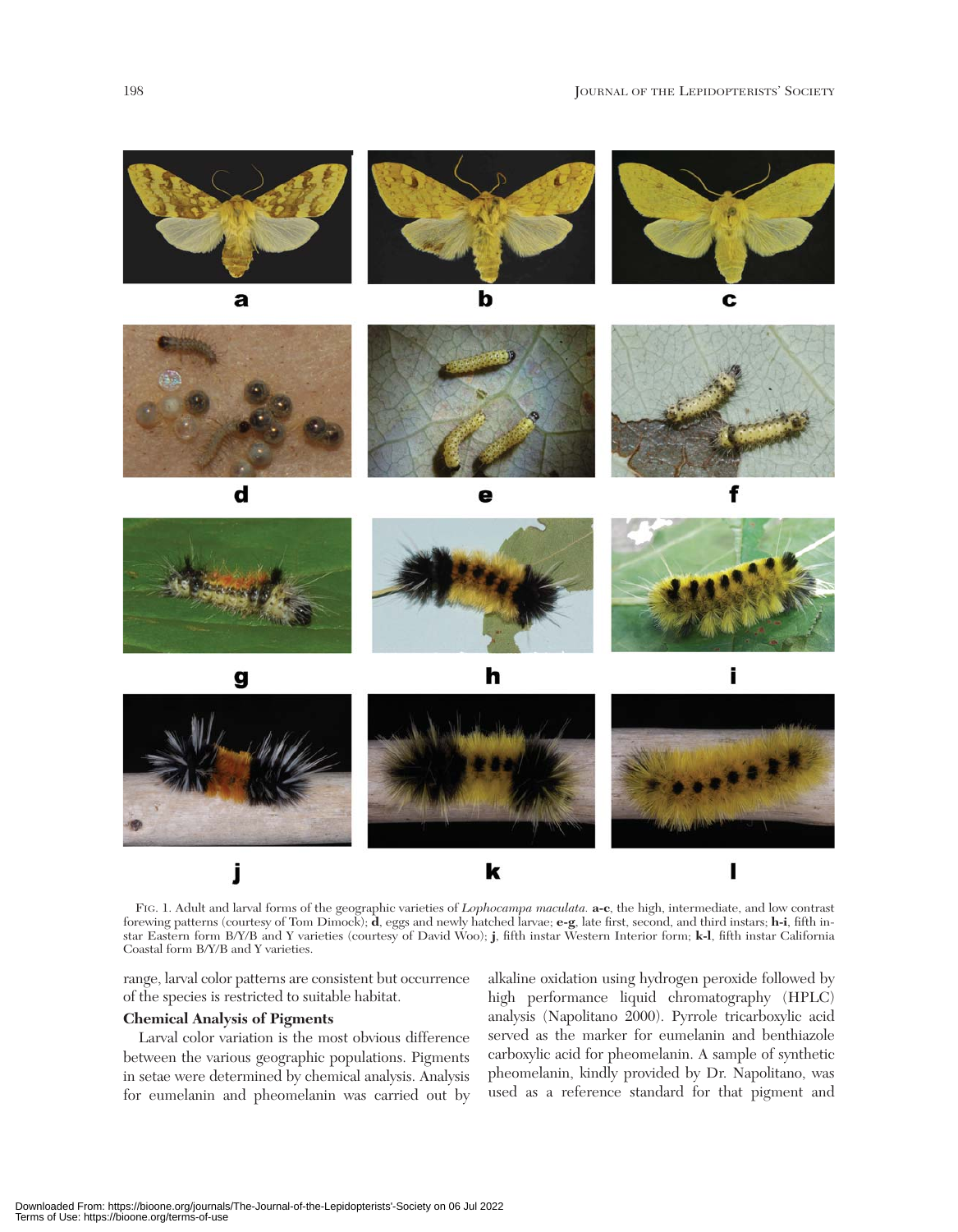





h



FIG. 1. Adult and larval forms of the geographic varieties of *Lophocampa maculata.* **a-c**, the high, intermediate, and low contrast forewing patterns (courtesy of Tom Dimock); **d**, eggs and newly hatched larvae; **e-g**, late first, second, and third instars; **h-i**, fifth instar Eastern form B/Y/B and Y varieties (courtesy of David Woo); **j**, fifth instar Western Interior form; **k-l**, fifth instar California Coastal form B/Y/B and Y varieties.

range, larval color patterns are consistent but occurrence of the species is restricted to suitable habitat.

#### **Chemical Analysis of Pigments**

Larval color variation is the most obvious difference between the various geographic populations. Pigments in setae were determined by chemical analysis. Analysis for eumelanin and pheomelanin was carried out by alkaline oxidation using hydrogen peroxide followed by high performance liquid chromatography (HPLC) analysis (Napolitano 2000). Pyrrole tricarboxylic acid served as the marker for eumelanin and benthiazole carboxylic acid for pheomelanin. A sample of synthetic pheomelanin, kindly provided by Dr. Napolitano, was used as a reference standard for that pigment and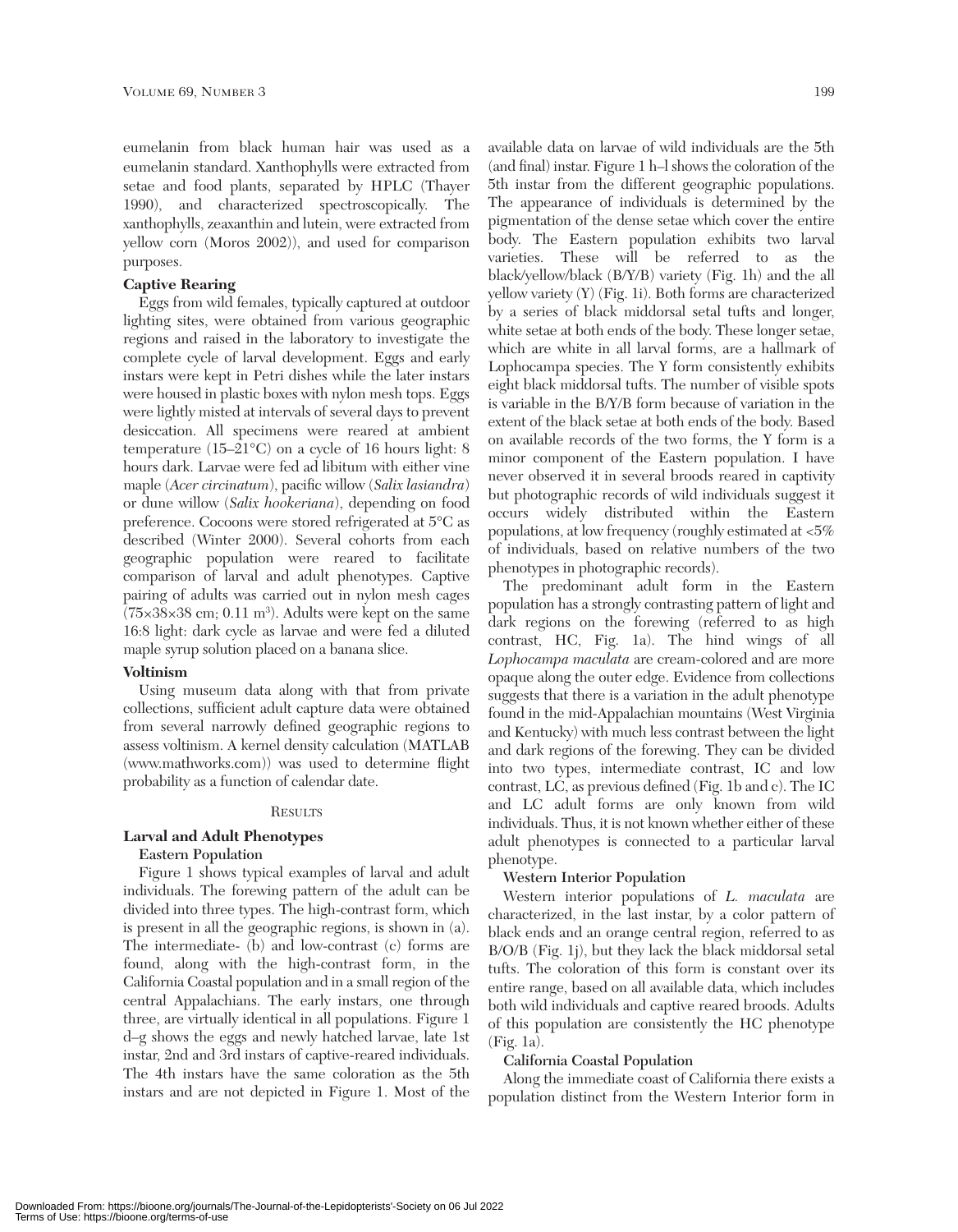eumelanin from black human hair was used as a eumelanin standard. Xanthophylls were extracted from setae and food plants, separated by HPLC (Thayer 1990), and characterized spectroscopically. The xanthophylls, zeaxanthin and lutein, were extracted from yellow corn (Moros 2002)), and used for comparison purposes.

# **Captive Rearing**

Eggs from wild females, typically captured at outdoor lighting sites, were obtained from various geographic regions and raised in the laboratory to investigate the complete cycle of larval development. Eggs and early instars were kept in Petri dishes while the later instars were housed in plastic boxes with nylon mesh tops. Eggs were lightly misted at intervals of several days to prevent desiccation. All specimens were reared at ambient temperature (15–21°C) on a cycle of 16 hours light: 8 hours dark. Larvae were fed ad libitum with either vine maple (*Acer circinatum*), pacific willow (*Salix lasiandra*) or dune willow (*Salix hookeriana*), depending on food preference. Cocoons were stored refrigerated at 5°C as described (Winter 2000). Several cohorts from each geographic population were reared to facilitate comparison of larval and adult phenotypes. Captive pairing of adults was carried out in nylon mesh cages  $(75\times38\times38$  cm; 0.11 m<sup>3</sup>). Adults were kept on the same 16:8 light: dark cycle as larvae and were fed a diluted maple syrup solution placed on a banana slice.

# **Voltinism**

Using museum data along with that from private collections, sufficient adult capture data were obtained from several narrowly defined geographic regions to assess voltinism. A kernel density calculation (MATLAB (www.mathworks.com)) was used to determine flight probability as a function of calendar date.

## **RESULTS**

## **Larval and Adult Phenotypes**

## **Eastern Population**

Figure 1 shows typical examples of larval and adult individuals. The forewing pattern of the adult can be divided into three types. The high-contrast form, which is present in all the geographic regions, is shown in (a). The intermediate- (b) and low-contrast (c) forms are found, along with the high-contrast form, in the California Coastal population and in a small region of the central Appalachians. The early instars, one through three, are virtually identical in all populations. Figure 1 d–g shows the eggs and newly hatched larvae, late 1st instar, 2nd and 3rd instars of captive-reared individuals. The 4th instars have the same coloration as the 5th instars and are not depicted in Figure 1. Most of the

available data on larvae of wild individuals are the 5th (and final) instar. Figure 1 h–l shows the coloration of the 5th instar from the different geographic populations. The appearance of individuals is determined by the pigmentation of the dense setae which cover the entire body. The Eastern population exhibits two larval varieties. These will be referred to as the black/yellow/black (B/Y/B) variety (Fig. 1h) and the all yellow variety (Y) (Fig. 1i). Both forms are characterized by a series of black middorsal setal tufts and longer, white setae at both ends of the body. These longer setae, which are white in all larval forms, are a hallmark of Lophocampa species. The Y form consistently exhibits eight black middorsal tufts. The number of visible spots is variable in the B/Y/B form because of variation in the extent of the black setae at both ends of the body. Based on available records of the two forms, the Y form is a minor component of the Eastern population. I have never observed it in several broods reared in captivity but photographic records of wild individuals suggest it occurs widely distributed within the Eastern populations, at low frequency (roughly estimated at <5% of individuals, based on relative numbers of the two phenotypes in photographic records).

The predominant adult form in the Eastern population has a strongly contrasting pattern of light and dark regions on the forewing (referred to as high contrast, HC, Fig. 1a). The hind wings of all *Lophocampa maculata* are cream-colored and are more opaque along the outer edge. Evidence from collections suggests that there is a variation in the adult phenotype found in the mid-Appalachian mountains (West Virginia and Kentucky) with much less contrast between the light and dark regions of the forewing. They can be divided into two types, intermediate contrast, IC and low contrast, LC, as previous defined (Fig. 1b and c). The IC and LC adult forms are only known from wild individuals. Thus, it is not known whether either of these adult phenotypes is connected to a particular larval phenotype.

## **Western Interior Population**

Western interior populations of *L. maculata* are characterized, in the last instar, by a color pattern of black ends and an orange central region, referred to as B/O/B (Fig. 1j), but they lack the black middorsal setal tufts. The coloration of this form is constant over its entire range, based on all available data, which includes both wild individuals and captive reared broods. Adults of this population are consistently the HC phenotype (Fig. 1a).

## **California Coastal Population**

Along the immediate coast of California there exists a population distinct from the Western Interior form in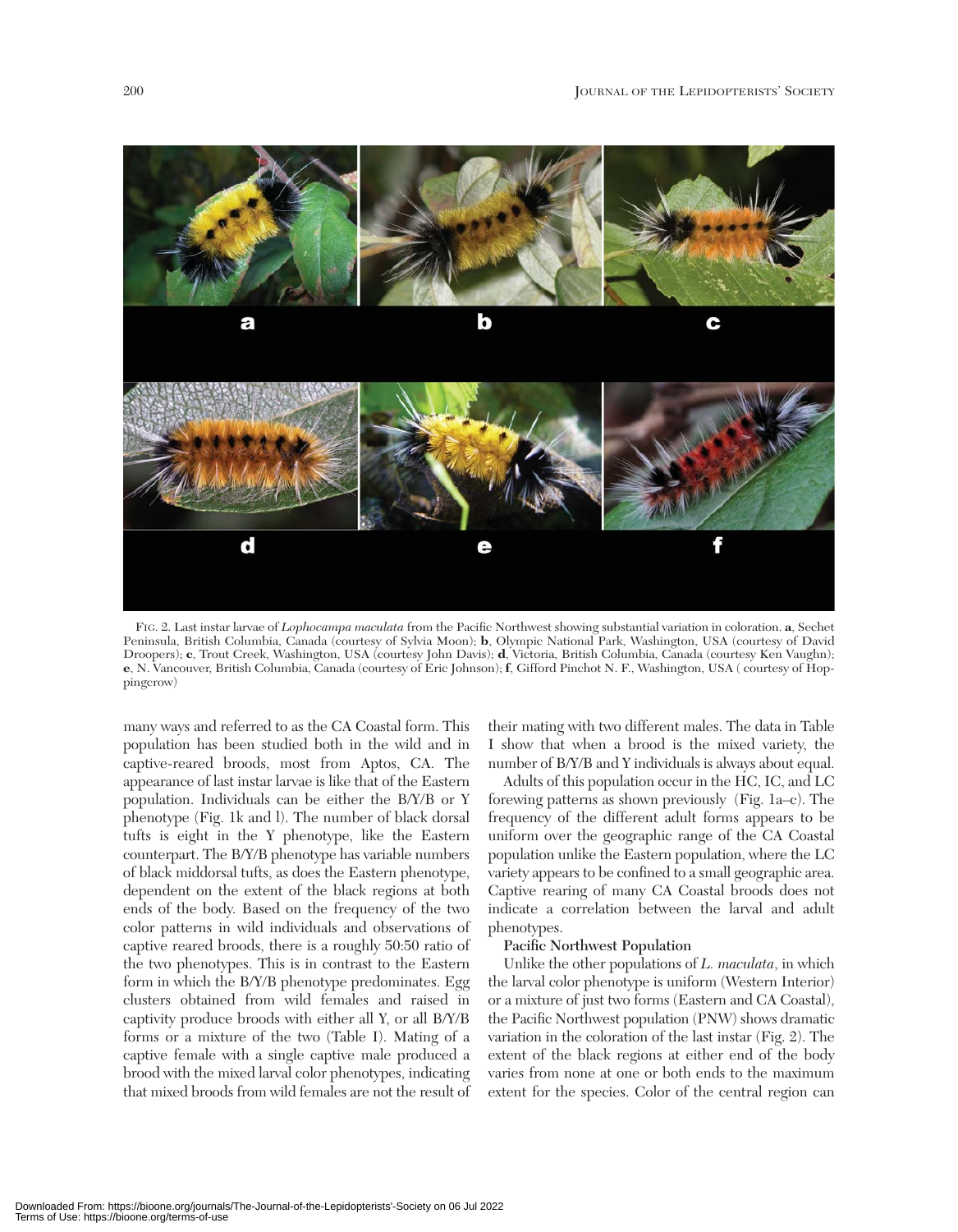

FIG. 2. Last instar larvae of *Lophocampa maculata* from the Pacific Northwest showing substantial variation in coloration. **a**, Sechet Peninsula, British Columbia, Canada (courtesy of Sylvia Moon); **b**, Olympic National Park, Washington, USA (courtesy of David Droopers); **c**, Trout Creek, Washington, USA (courtesy John Davis); **d**, Victoria, British Columbia, Canada (courtesy Ken Vaughn); **e**, N. Vancouver, British Columbia, Canada (courtesy of Eric Johnson); **f**, Gifford Pinchot N. F., Washington, USA ( courtesy of Hoppingcrow)

many ways and referred to as the CA Coastal form. This population has been studied both in the wild and in captive-reared broods, most from Aptos, CA. The appearance of last instar larvae is like that of the Eastern population. Individuals can be either the B/Y/B or Y phenotype (Fig. 1k and l). The number of black dorsal tufts is eight in the Y phenotype, like the Eastern counterpart. The B/Y/B phenotype has variable numbers of black middorsal tufts, as does the Eastern phenotype, dependent on the extent of the black regions at both ends of the body. Based on the frequency of the two color patterns in wild individuals and observations of captive reared broods, there is a roughly 50:50 ratio of the two phenotypes. This is in contrast to the Eastern form in which the B/Y/B phenotype predominates. Egg clusters obtained from wild females and raised in captivity produce broods with either all Y, or all B/Y/B forms or a mixture of the two (Table I). Mating of a captive female with a single captive male produced a brood with the mixed larval color phenotypes, indicating that mixed broods from wild females are not the result of their mating with two different males. The data in Table I show that when a brood is the mixed variety, the number of B/Y/B and Y individuals is always about equal.

Adults of this population occur in the HC, IC, and LC forewing patterns as shown previously (Fig. 1a–c). The frequency of the different adult forms appears to be uniform over the geographic range of the CA Coastal population unlike the Eastern population, where the LC variety appears to be confined to a small geographic area. Captive rearing of many CA Coastal broods does not indicate a correlation between the larval and adult phenotypes.

## **Pacific Northwest Population**

Unlike the other populations of *L. maculata*, in which the larval color phenotype is uniform (Western Interior) or a mixture of just two forms (Eastern and CA Coastal), the Pacific Northwest population (PNW) shows dramatic variation in the coloration of the last instar (Fig. 2). The extent of the black regions at either end of the body varies from none at one or both ends to the maximum extent for the species. Color of the central region can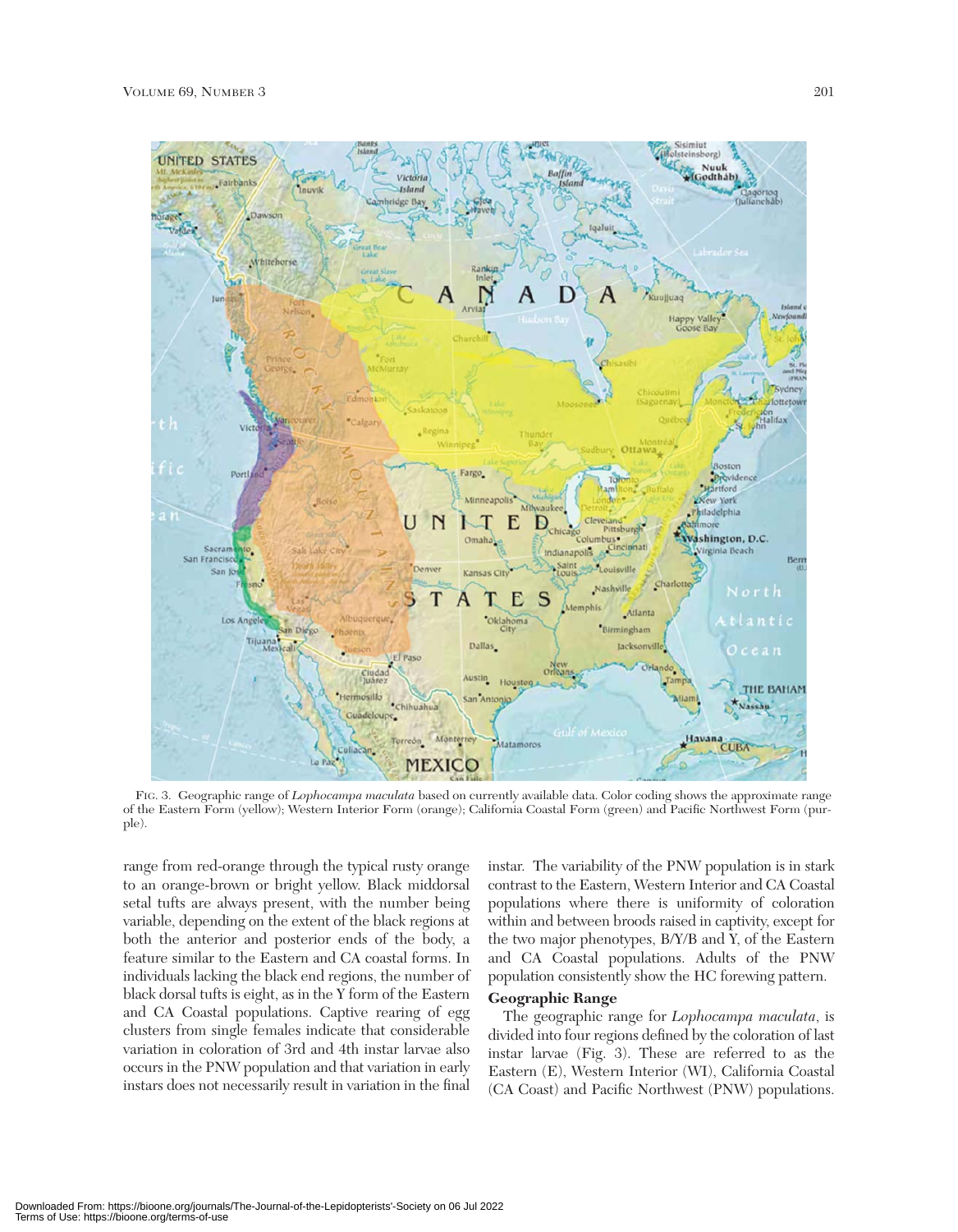

FIG. 3. Geographic range of *Lophocampa maculata* based on currently available data. Color coding shows the approximate range of the Eastern Form (yellow); Western Interior Form (orange); California Coastal Form (green) and Pacific Northwest Form (purple).

range from red-orange through the typical rusty orange to an orange-brown or bright yellow. Black middorsal setal tufts are always present, with the number being variable, depending on the extent of the black regions at both the anterior and posterior ends of the body, a feature similar to the Eastern and CA coastal forms. In individuals lacking the black end regions, the number of black dorsal tufts is eight, as in the Y form of the Eastern and CA Coastal populations. Captive rearing of egg clusters from single females indicate that considerable variation in coloration of 3rd and 4th instar larvae also occurs in the PNW population and that variation in early instars does not necessarily result in variation in the final

instar. The variability of the PNW population is in stark contrast to the Eastern, Western Interior and CA Coastal populations where there is uniformity of coloration within and between broods raised in captivity, except for the two major phenotypes, B/Y/B and Y, of the Eastern and CA Coastal populations. Adults of the PNW population consistently show the HC forewing pattern.

# **Geographic Range**

The geographic range for *Lophocampa maculata*, is divided into four regions defined by the coloration of last instar larvae (Fig. 3). These are referred to as the Eastern (E), Western Interior (WI), California Coastal (CA Coast) and Pacific Northwest (PNW) populations.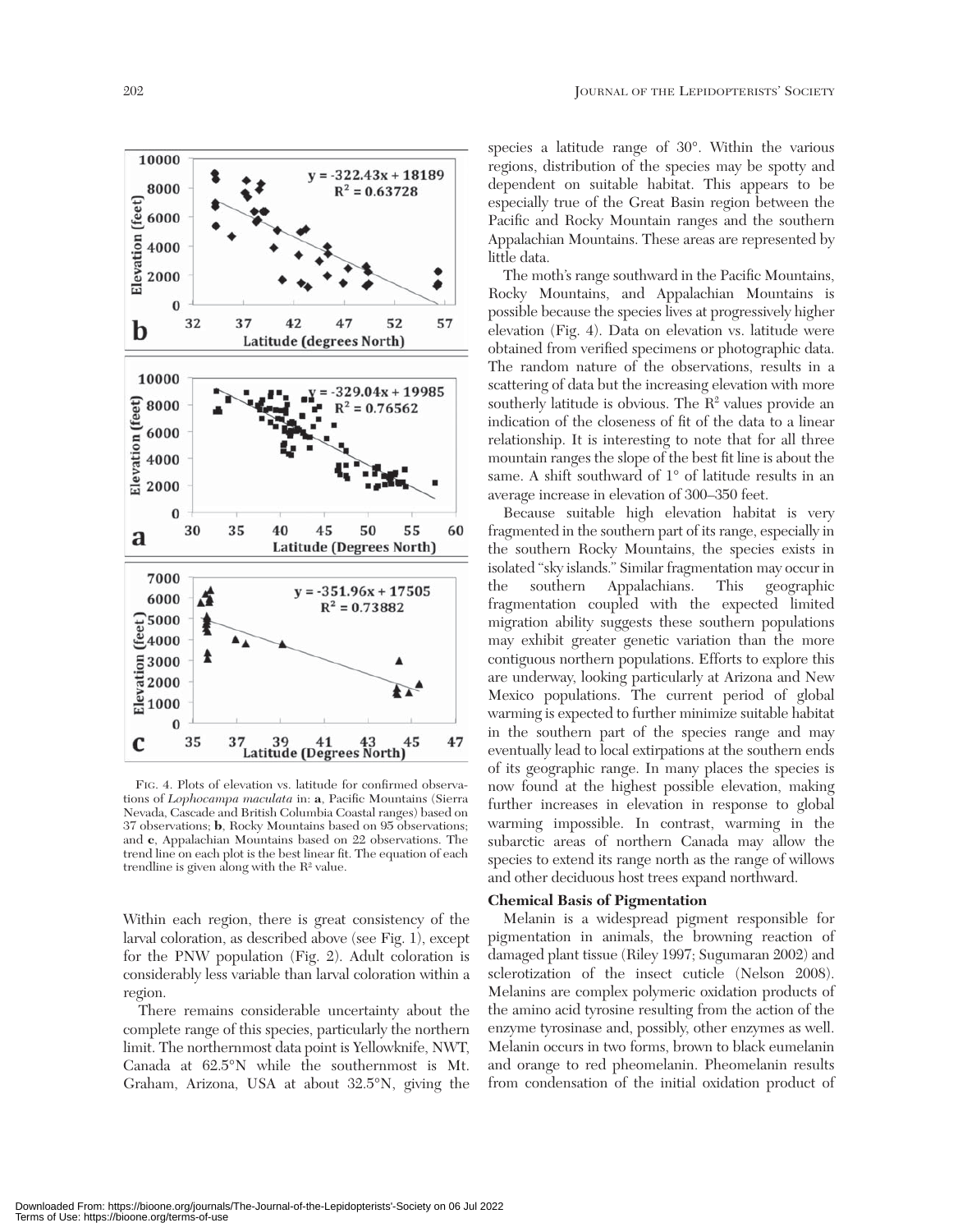

FIG. 4. Plots of elevation vs. latitude for confirmed observations of *Lophocampa maculata* in: **a**, Pacific Mountains (Sierra Nevada, Cascade and British Columbia Coastal ranges) based on 37 observations; **b**, Rocky Mountains based on 95 observations; and **c**, Appalachian Mountains based on 22 observations. The trend line on each plot is the best linear fit. The equation of each trendline is given along with the  $\mathrm{R}^2$  value.

Within each region, there is great consistency of the larval coloration, as described above (see Fig. 1), except for the PNW population (Fig. 2). Adult coloration is considerably less variable than larval coloration within a region.

There remains considerable uncertainty about the complete range of this species, particularly the northern limit. The northernmost data point is Yellowknife, NWT, Canada at 62.5°N while the southernmost is Mt. Graham, Arizona, USA at about 32.5°N, giving the

species a latitude range of 30°. Within the various regions, distribution of the species may be spotty and dependent on suitable habitat. This appears to be especially true of the Great Basin region between the Pacific and Rocky Mountain ranges and the southern Appalachian Mountains. These areas are represented by little data.

The moth's range southward in the Pacific Mountains, Rocky Mountains, and Appalachian Mountains is possible because the species lives at progressively higher elevation (Fig. 4). Data on elevation vs. latitude were obtained from verified specimens or photographic data. The random nature of the observations, results in a scattering of data but the increasing elevation with more southerly latitude is obvious. The  $R<sup>2</sup>$  values provide an indication of the closeness of fit of the data to a linear relationship. It is interesting to note that for all three mountain ranges the slope of the best fit line is about the same. A shift southward of 1° of latitude results in an average increase in elevation of 300–350 feet.

Because suitable high elevation habitat is very fragmented in the southern part of its range, especially in the southern Rocky Mountains, the species exists in isolated "sky islands." Similar fragmentation may occur in the southern Appalachians. This geographic fragmentation coupled with the expected limited migration ability suggests these southern populations may exhibit greater genetic variation than the more contiguous northern populations. Efforts to explore this are underway, looking particularly at Arizona and New Mexico populations. The current period of global warming is expected to further minimize suitable habitat in the southern part of the species range and may eventually lead to local extirpations at the southern ends of its geographic range. In many places the species is now found at the highest possible elevation, making further increases in elevation in response to global warming impossible. In contrast, warming in the subarctic areas of northern Canada may allow the species to extend its range north as the range of willows and other deciduous host trees expand northward.

## **Chemical Basis of Pigmentation**

Melanin is a widespread pigment responsible for pigmentation in animals, the browning reaction of damaged plant tissue (Riley 1997; Sugumaran 2002) and sclerotization of the insect cuticle (Nelson 2008). Melanins are complex polymeric oxidation products of the amino acid tyrosine resulting from the action of the enzyme tyrosinase and, possibly, other enzymes as well. Melanin occurs in two forms, brown to black eumelanin and orange to red pheomelanin. Pheomelanin results from condensation of the initial oxidation product of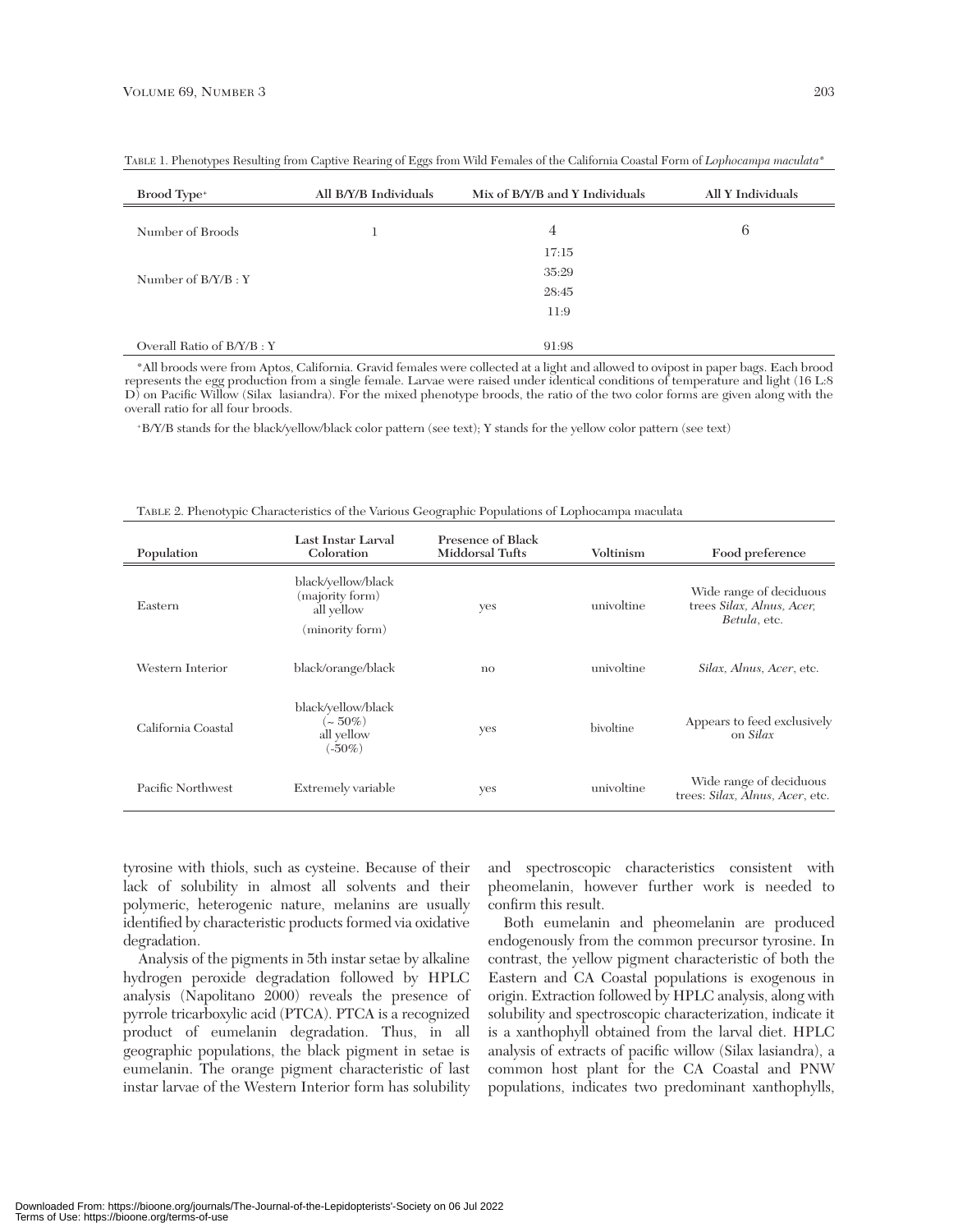| Brood Type <sup>+</sup>   | All B/Y/B Individuals | Mix of B/Y/B and Y Individuals | All Y Individuals |
|---------------------------|-----------------------|--------------------------------|-------------------|
| Number of Broods          |                       | 4                              | 6                 |
|                           |                       | 17:15                          |                   |
| Number of $B/Y/B:Y$       |                       | 35:29                          |                   |
|                           |                       | 28:45                          |                   |
|                           |                       | 11:9                           |                   |
|                           |                       |                                |                   |
| Overall Ratio of B/Y/B: Y |                       | 91:98                          |                   |

TABLE 1. Phenotypes Resulting from Captive Rearing of Eggs from Wild Females of the California Coastal Form of *Lophocampa maculata*\*

\*All broods were from Aptos, California. Gravid females were collected at a light and allowed to ovipost in paper bags. Each brood represents the egg production from a single female. Larvae were raised under identical conditions of temperature and light (16 L:8 D) on Pacific Willow (Silax lasiandra). For the mixed phenotype broods, the ratio of the two color forms are given along with the overall ratio for all four broods.

+B/Y/B stands for the black/yellow/black color pattern (see text); Y stands for the yellow color pattern (see text)

| Population         | Last Instar Larval<br>Coloration                                       | <b>Presence of Black</b><br>Middorsal Tufts | Voltinism  | Food preference                                                      |  |
|--------------------|------------------------------------------------------------------------|---------------------------------------------|------------|----------------------------------------------------------------------|--|
| Eastern            | black/yellow/black<br>(majority form)<br>all yellow<br>(minority form) | yes                                         | univoltine | Wide range of deciduous<br>trees Silax, Alnus, Acer,<br>Betula, etc. |  |
| Western Interior   | black/orange/black                                                     | $\mathbf{no}$                               | univoltine | Silax, Alnus, Acer, etc.                                             |  |
| California Coastal | black/yellow/black<br>$\sim 50\%)$<br>all yellow<br>$(-50\%)$          | yes                                         | bivoltine  | Appears to feed exclusively<br>on Silax                              |  |
| Pacific Northwest  | Extremely variable                                                     | yes                                         | univoltine | Wide range of deciduous<br>trees: Silax, Alnus, Acer, etc.           |  |

|  |  | TABLE 2. Phenotypic Characteristics of the Various Geographic Populations of Lophocampa maculata |  |
|--|--|--------------------------------------------------------------------------------------------------|--|
|  |  |                                                                                                  |  |

tyrosine with thiols, such as cysteine. Because of their lack of solubility in almost all solvents and their polymeric, heterogenic nature, melanins are usually identified by characteristic products formed via oxidative degradation.

Analysis of the pigments in 5th instar setae by alkaline hydrogen peroxide degradation followed by HPLC analysis (Napolitano 2000) reveals the presence of pyrrole tricarboxylic acid (PTCA). PTCA is a recognized product of eumelanin degradation. Thus, in all geographic populations, the black pigment in setae is eumelanin. The orange pigment characteristic of last instar larvae of the Western Interior form has solubility

and spectroscopic characteristics consistent with pheomelanin, however further work is needed to confirm this result.

Both eumelanin and pheomelanin are produced endogenously from the common precursor tyrosine. In contrast, the yellow pigment characteristic of both the Eastern and CA Coastal populations is exogenous in origin. Extraction followed by HPLC analysis, along with solubility and spectroscopic characterization, indicate it is a xanthophyll obtained from the larval diet. HPLC analysis of extracts of pacific willow (Silax lasiandra), a common host plant for the CA Coastal and PNW populations, indicates two predominant xanthophylls,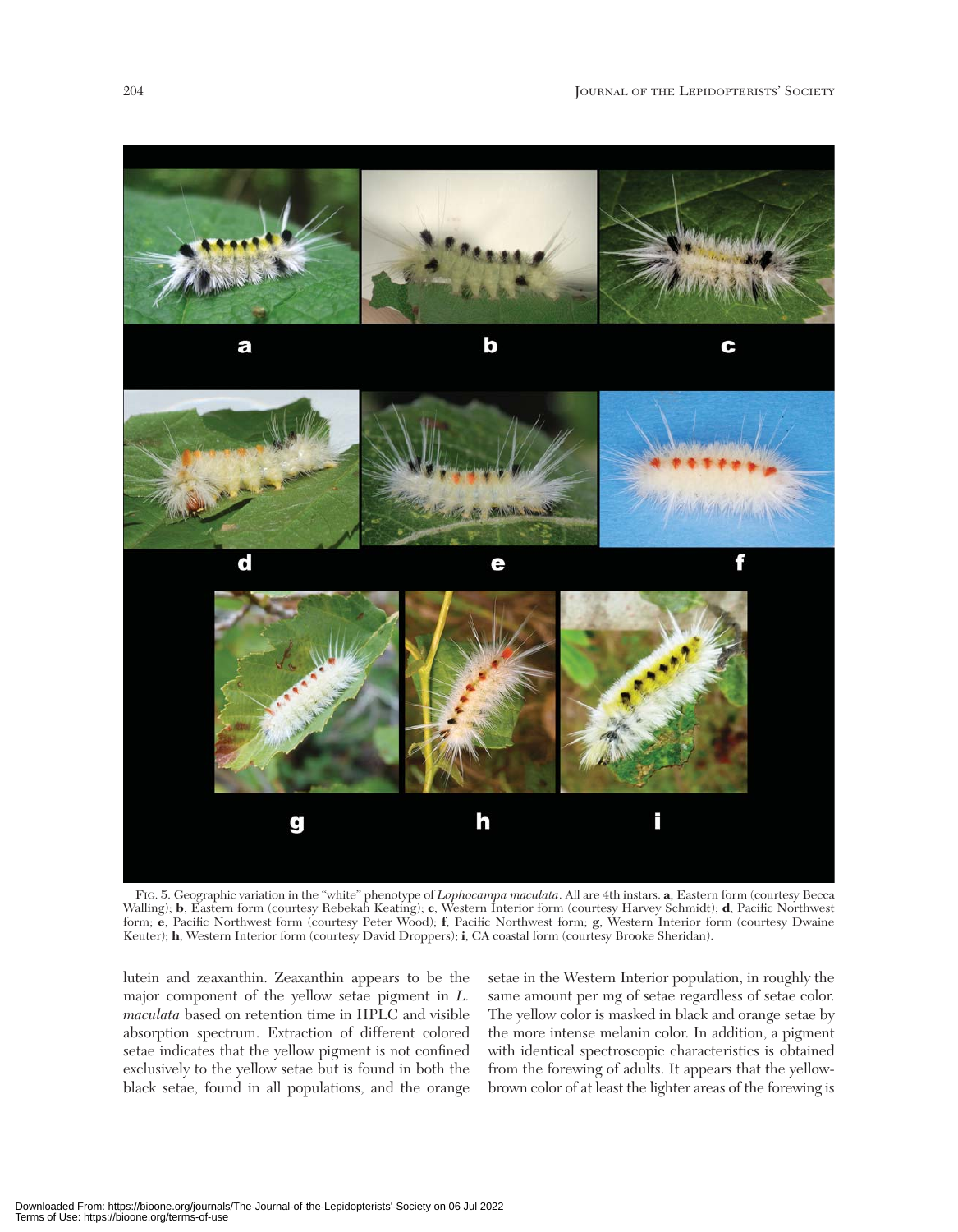

FIG. 5. Geographic variation in the "white" phenotype of *Lophocampa maculata*. All are 4th instars. **a**, Eastern form (courtesy Becca Walling); **b**, Eastern form (courtesy Rebekah Keating); **c**, Western Interior form (courtesy Harvey Schmidt); **d**, Pacific Northwest form; **e**, Pacific Northwest form (courtesy Peter Wood); **f**, Pacific Northwest form; **g**, Western Interior form (courtesy Dwaine Keuter); **h**, Western Interior form (courtesy David Droppers); **i**, CA coastal form (courtesy Brooke Sheridan).

lutein and zeaxanthin. Zeaxanthin appears to be the major component of the yellow setae pigment in *L. maculata* based on retention time in HPLC and visible absorption spectrum. Extraction of different colored setae indicates that the yellow pigment is not confined exclusively to the yellow setae but is found in both the black setae, found in all populations, and the orange

setae in the Western Interior population, in roughly the same amount per mg of setae regardless of setae color. The yellow color is masked in black and orange setae by the more intense melanin color. In addition, a pigment with identical spectroscopic characteristics is obtained from the forewing of adults. It appears that the yellowbrown color of at least the lighter areas of the forewing is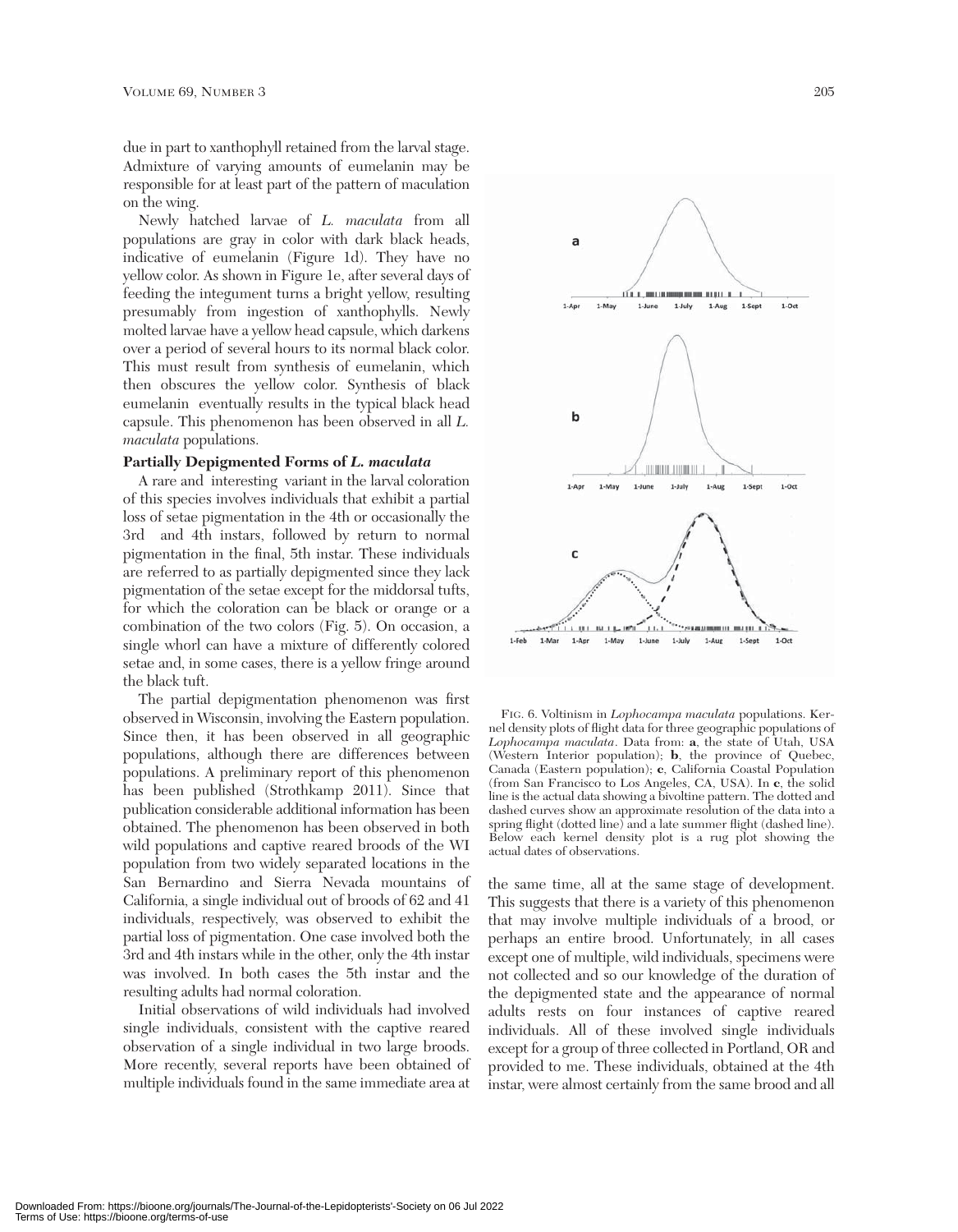due in part to xanthophyll retained from the larval stage. Admixture of varying amounts of eumelanin may be responsible for at least part of the pattern of maculation on the wing.

Newly hatched larvae of *L. maculata* from all populations are gray in color with dark black heads, indicative of eumelanin (Figure 1d). They have no yellow color. As shown in Figure 1e, after several days of feeding the integument turns a bright yellow, resulting presumably from ingestion of xanthophylls. Newly molted larvae have a yellow head capsule, which darkens over a period of several hours to its normal black color. This must result from synthesis of eumelanin, which then obscures the yellow color. Synthesis of black eumelanin eventually results in the typical black head capsule. This phenomenon has been observed in all *L. maculata* populations.

#### **Partially Depigmented Forms of** *L. maculata*

A rare and interesting variant in the larval coloration of this species involves individuals that exhibit a partial loss of setae pigmentation in the 4th or occasionally the 3rd and 4th instars, followed by return to normal pigmentation in the final, 5th instar. These individuals are referred to as partially depigmented since they lack pigmentation of the setae except for the middorsal tufts, for which the coloration can be black or orange or a combination of the two colors (Fig. 5). On occasion, a single whorl can have a mixture of differently colored setae and, in some cases, there is a yellow fringe around the black tuft.

The partial depigmentation phenomenon was first observed in Wisconsin, involving the Eastern population. Since then, it has been observed in all geographic populations, although there are differences between populations. A preliminary report of this phenomenon has been published (Strothkamp 2011). Since that publication considerable additional information has been obtained. The phenomenon has been observed in both wild populations and captive reared broods of the WI population from two widely separated locations in the San Bernardino and Sierra Nevada mountains of California, a single individual out of broods of 62 and 41 individuals, respectively, was observed to exhibit the partial loss of pigmentation. One case involved both the 3rd and 4th instars while in the other, only the 4th instar was involved. In both cases the 5th instar and the resulting adults had normal coloration.

Initial observations of wild individuals had involved single individuals, consistent with the captive reared observation of a single individual in two large broods. More recently, several reports have been obtained of multiple individuals found in the same immediate area at



FIG. 6. Voltinism in *Lophocampa maculata* populations. Kernel density plots of flight data for three geographic populations of *Lophocampa maculata*. Data from: **a**, the state of Utah, USA (Western Interior population); **b**, the province of Quebec, Canada (Eastern population); **c**, California Coastal Population (from San Francisco to Los Angeles, CA, USA). In **c**, the solid line is the actual data showing a bivoltine pattern. The dotted and dashed curves show an approximate resolution of the data into a spring flight (dotted line) and a late summer flight (dashed line). Below each kernel density plot is a rug plot showing the actual dates of observations.

the same time, all at the same stage of development. This suggests that there is a variety of this phenomenon that may involve multiple individuals of a brood, or perhaps an entire brood. Unfortunately, in all cases except one of multiple, wild individuals, specimens were not collected and so our knowledge of the duration of the depigmented state and the appearance of normal adults rests on four instances of captive reared individuals. All of these involved single individuals except for a group of three collected in Portland, OR and provided to me. These individuals, obtained at the 4th instar, were almost certainly from the same brood and all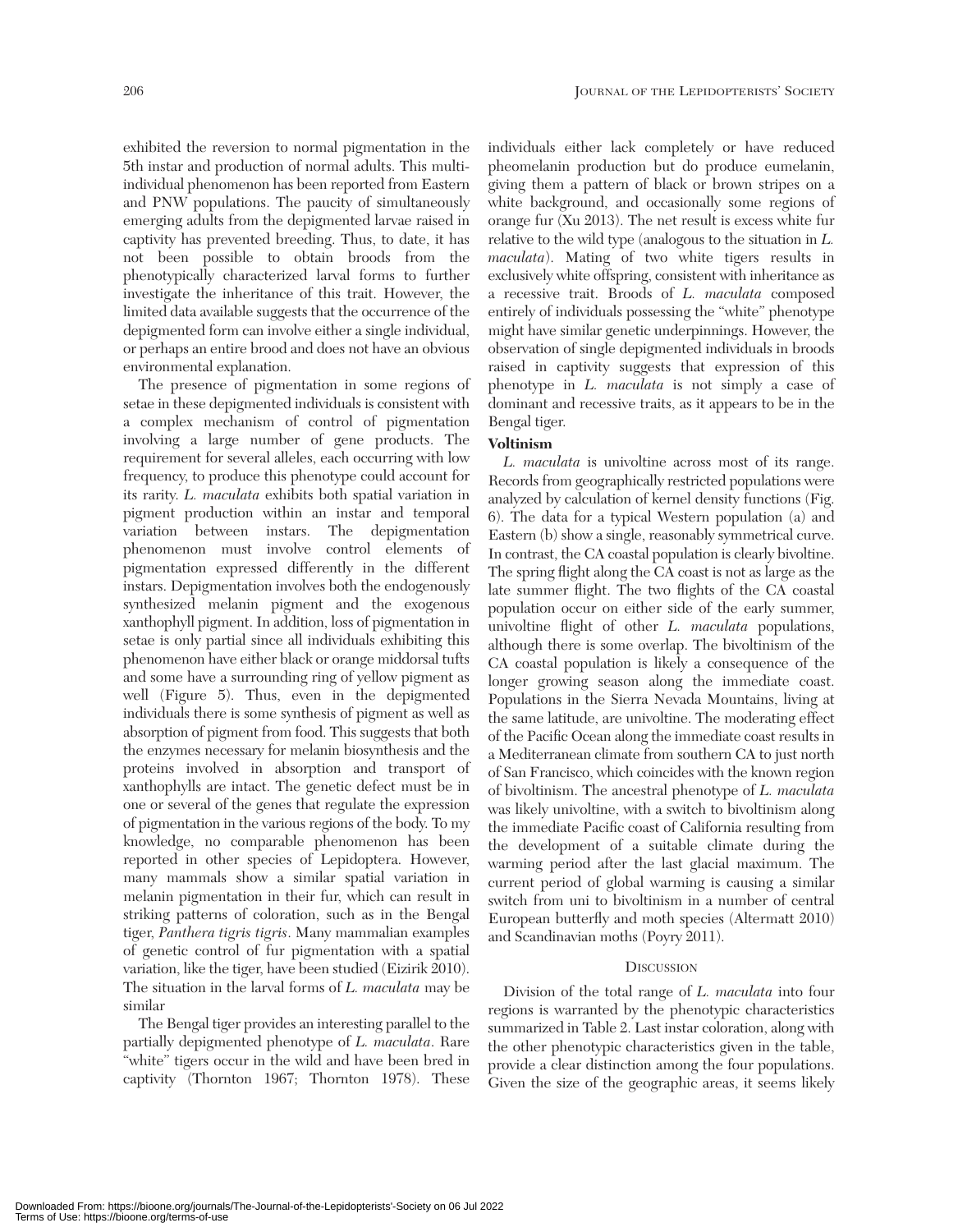exhibited the reversion to normal pigmentation in the 5th instar and production of normal adults. This multiindividual phenomenon has been reported from Eastern and PNW populations. The paucity of simultaneously emerging adults from the depigmented larvae raised in captivity has prevented breeding. Thus, to date, it has not been possible to obtain broods from the phenotypically characterized larval forms to further investigate the inheritance of this trait. However, the limited data available suggests that the occurrence of the depigmented form can involve either a single individual, or perhaps an entire brood and does not have an obvious environmental explanation.

The presence of pigmentation in some regions of setae in these depigmented individuals is consistent with a complex mechanism of control of pigmentation involving a large number of gene products. The requirement for several alleles, each occurring with low frequency, to produce this phenotype could account for its rarity. *L. maculata* exhibits both spatial variation in pigment production within an instar and temporal variation between instars. The depigmentation phenomenon must involve control elements of pigmentation expressed differently in the different instars. Depigmentation involves both the endogenously synthesized melanin pigment and the exogenous xanthophyll pigment. In addition, loss of pigmentation in setae is only partial since all individuals exhibiting this phenomenon have either black or orange middorsal tufts and some have a surrounding ring of yellow pigment as well (Figure 5). Thus, even in the depigmented individuals there is some synthesis of pigment as well as absorption of pigment from food. This suggests that both the enzymes necessary for melanin biosynthesis and the proteins involved in absorption and transport of xanthophylls are intact. The genetic defect must be in one or several of the genes that regulate the expression of pigmentation in the various regions of the body. To my knowledge, no comparable phenomenon has been reported in other species of Lepidoptera. However, many mammals show a similar spatial variation in melanin pigmentation in their fur, which can result in striking patterns of coloration, such as in the Bengal tiger, *Panthera tigris tigris*. Many mammalian examples of genetic control of fur pigmentation with a spatial variation, like the tiger, have been studied (Eizirik 2010). The situation in the larval forms of *L. maculata* may be similar

The Bengal tiger provides an interesting parallel to the partially depigmented phenotype of *L. maculata*. Rare "white" tigers occur in the wild and have been bred in captivity (Thornton 1967; Thornton 1978). These individuals either lack completely or have reduced pheomelanin production but do produce eumelanin, giving them a pattern of black or brown stripes on a white background, and occasionally some regions of orange fur (Xu 2013). The net result is excess white fur relative to the wild type (analogous to the situation in *L. maculata*). Mating of two white tigers results in exclusively white offspring, consistent with inheritance as a recessive trait. Broods of *L. maculata* composed entirely of individuals possessing the "white" phenotype might have similar genetic underpinnings. However, the observation of single depigmented individuals in broods raised in captivity suggests that expression of this phenotype in *L. maculata* is not simply a case of dominant and recessive traits, as it appears to be in the Bengal tiger.

# **Voltinism**

*L. maculata* is univoltine across most of its range. Records from geographically restricted populations were analyzed by calculation of kernel density functions (Fig. 6). The data for a typical Western population (a) and Eastern (b) show a single, reasonably symmetrical curve. In contrast, the CA coastal population is clearly bivoltine. The spring flight along the CA coast is not as large as the late summer flight. The two flights of the CA coastal population occur on either side of the early summer, univoltine flight of other *L. maculata* populations, although there is some overlap. The bivoltinism of the CA coastal population is likely a consequence of the longer growing season along the immediate coast. Populations in the Sierra Nevada Mountains, living at the same latitude, are univoltine. The moderating effect of the Pacific Ocean along the immediate coast results in a Mediterranean climate from southern CA to just north of San Francisco, which coincides with the known region of bivoltinism. The ancestral phenotype of *L. maculata* was likely univoltine, with a switch to bivoltinism along the immediate Pacific coast of California resulting from the development of a suitable climate during the warming period after the last glacial maximum. The current period of global warming is causing a similar switch from uni to bivoltinism in a number of central European butterfly and moth species (Altermatt 2010) and Scandinavian moths (Poyry 2011).

## **DISCUSSION**

Division of the total range of *L. maculata* into four regions is warranted by the phenotypic characteristics summarized in Table 2. Last instar coloration, along with the other phenotypic characteristics given in the table, provide a clear distinction among the four populations. Given the size of the geographic areas, it seems likely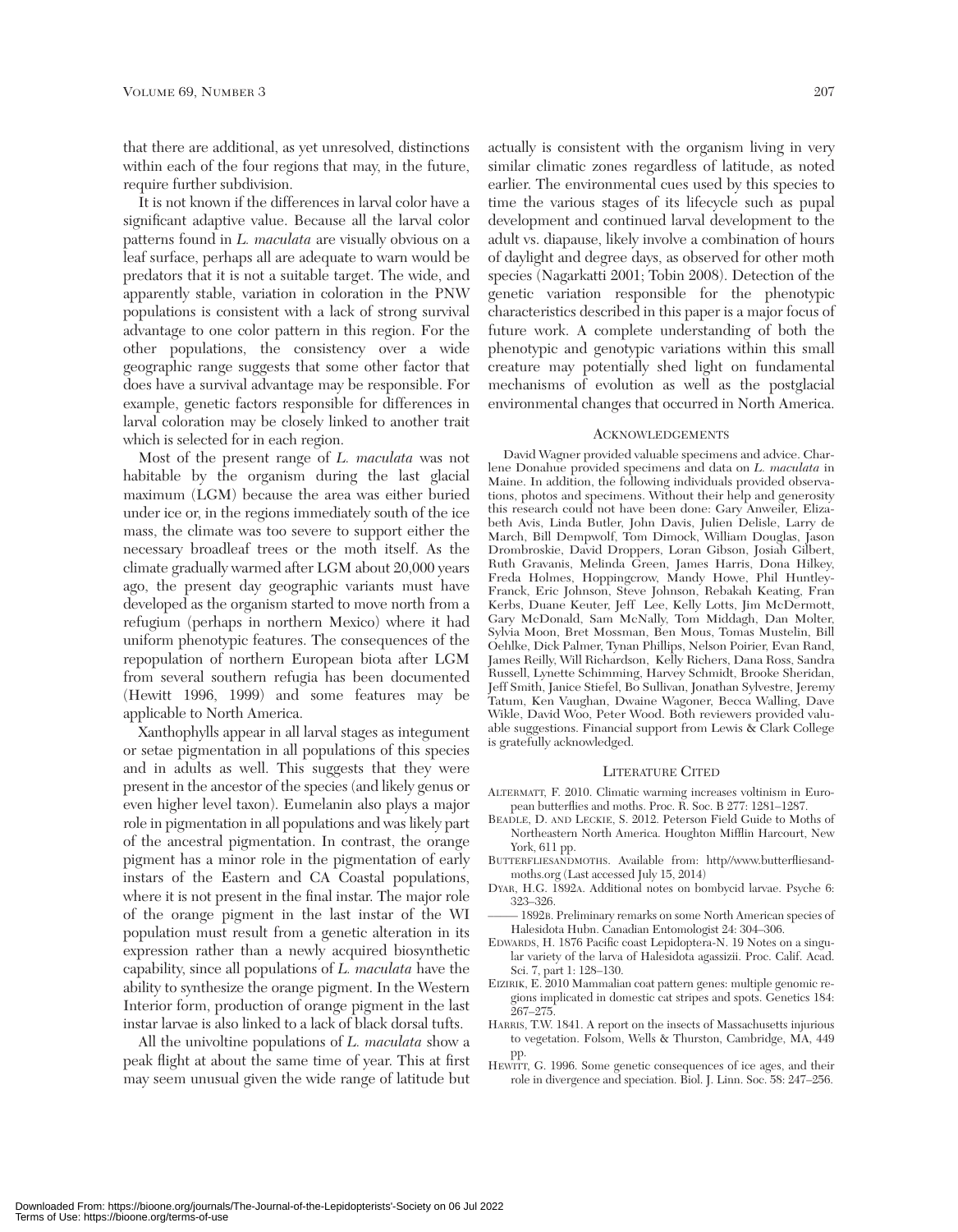that there are additional, as yet unresolved, distinctions within each of the four regions that may, in the future, require further subdivision.

It is not known if the differences in larval color have a significant adaptive value. Because all the larval color patterns found in *L. maculata* are visually obvious on a leaf surface, perhaps all are adequate to warn would be predators that it is not a suitable target. The wide, and apparently stable, variation in coloration in the PNW populations is consistent with a lack of strong survival advantage to one color pattern in this region. For the other populations, the consistency over a wide geographic range suggests that some other factor that does have a survival advantage may be responsible. For example, genetic factors responsible for differences in larval coloration may be closely linked to another trait which is selected for in each region.

Most of the present range of *L. maculata* was not habitable by the organism during the last glacial maximum (LGM) because the area was either buried under ice or, in the regions immediately south of the ice mass, the climate was too severe to support either the necessary broadleaf trees or the moth itself. As the climate gradually warmed after LGM about 20,000 years ago, the present day geographic variants must have developed as the organism started to move north from a refugium (perhaps in northern Mexico) where it had uniform phenotypic features. The consequences of the repopulation of northern European biota after LGM from several southern refugia has been documented (Hewitt 1996, 1999) and some features may be applicable to North America.

Xanthophylls appear in all larval stages as integument or setae pigmentation in all populations of this species and in adults as well. This suggests that they were present in the ancestor of the species (and likely genus or even higher level taxon). Eumelanin also plays a major role in pigmentation in all populations and was likely part of the ancestral pigmentation. In contrast, the orange pigment has a minor role in the pigmentation of early instars of the Eastern and CA Coastal populations, where it is not present in the final instar. The major role of the orange pigment in the last instar of the WI population must result from a genetic alteration in its expression rather than a newly acquired biosynthetic capability, since all populations of *L. maculata* have the ability to synthesize the orange pigment. In the Western Interior form, production of orange pigment in the last instar larvae is also linked to a lack of black dorsal tufts.

All the univoltine populations of *L. maculata* show a peak flight at about the same time of year. This at first may seem unusual given the wide range of latitude but

actually is consistent with the organism living in very similar climatic zones regardless of latitude, as noted earlier. The environmental cues used by this species to time the various stages of its lifecycle such as pupal development and continued larval development to the adult vs. diapause, likely involve a combination of hours of daylight and degree days, as observed for other moth species (Nagarkatti 2001; Tobin 2008). Detection of the genetic variation responsible for the phenotypic characteristics described in this paper is a major focus of future work. A complete understanding of both the phenotypic and genotypic variations within this small creature may potentially shed light on fundamental mechanisms of evolution as well as the postglacial environmental changes that occurred in North America.

#### ACKNOWLEDGEMENTS

David Wagner provided valuable specimens and advice. Charlene Donahue provided specimens and data on *L. maculata* in Maine. In addition, the following individuals provided observations, photos and specimens. Without their help and generosity this research could not have been done: Gary Anweiler, Elizabeth Avis, Linda Butler, John Davis, Julien Delisle, Larry de March, Bill Dempwolf, Tom Dimock, William Douglas, Jason Drombroskie, David Droppers, Loran Gibson, Josiah Gilbert, Ruth Gravanis, Melinda Green, James Harris, Dona Hilkey, Freda Holmes, Hoppingcrow, Mandy Howe, Phil Huntley-Franck, Eric Johnson, Steve Johnson, Rebakah Keating, Fran Kerbs, Duane Keuter, Jeff Lee, Kelly Lotts, Jim McDermott, Gary McDonald, Sam McNally, Tom Middagh, Dan Molter, Sylvia Moon, Bret Mossman, Ben Mous, Tomas Mustelin, Bill Oehlke, Dick Palmer, Tynan Phillips, Nelson Poirier, Evan Rand, James Reilly, Will Richardson, Kelly Richers, Dana Ross, Sandra Russell, Lynette Schimming, Harvey Schmidt, Brooke Sheridan, Jeff Smith, Janice Stiefel, Bo Sullivan, Jonathan Sylvestre, Jeremy Tatum, Ken Vaughan, Dwaine Wagoner, Becca Walling, Dave Wikle, David Woo, Peter Wood. Both reviewers provided valuable suggestions. Financial support from Lewis  $\&$  Clark College is gratefully acknowledged.

#### LITERATURE CITED

- ALTERMATT, F. 2010. Climatic warming increases voltinism in European butterflies and moths. Proc. R. Soc. B 277: 1281–1287.
- BEADLE, D. AND LECKIE, S. 2012. Peterson Field Guide to Moths of Northeastern North America. Houghton Mifflin Harcourt, New York, 611 pp.
- BUTTERFLIESANDMOTHS. Available from: http//www.butterfliesandmoths.org (Last accessed July 15, 2014)
- DYAR, H.G. 1892A. Additional notes on bombycid larvae. Psyche 6: 323–326.
- ––––– 1892B. Preliminary remarks on some North American species of Halesidota Hubn. Canadian Entomologist 24: 304–306.
- EDWARDS, H. 1876 Pacific coast Lepidoptera-N. 19 Notes on a singular variety of the larva of Halesidota agassizii. Proc. Calif. Acad. Sci. 7, part 1: 128–130.
- EIZIRIK, E. 2010 Mammalian coat pattern genes: multiple genomic regions implicated in domestic cat stripes and spots. Genetics 184: 267–275.
- HARRIS, T.W. 1841. A report on the insects of Massachusetts injurious to vegetation. Folsom, Wells & Thurston, Cambridge, MA, 449 pp.
- HEWITT, G. 1996. Some genetic consequences of ice ages, and their role in divergence and speciation. Biol. J. Linn. Soc. 58: 247–256.